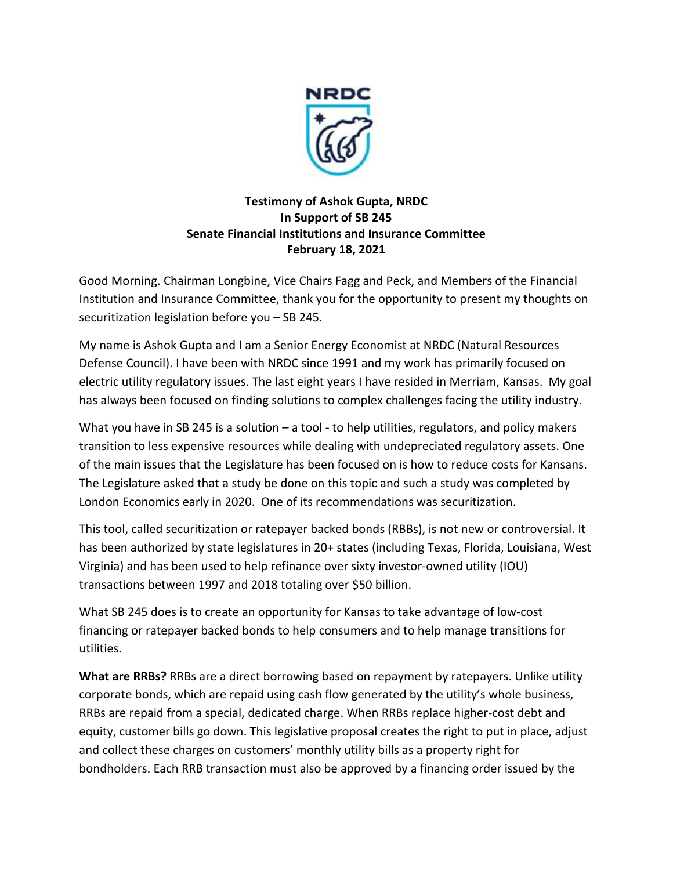

## **Testimony of Ashok Gupta, NRDC In Support of SB 245 Senate Financial Institutions and Insurance Committee February 18, 2021**

Good Morning. Chairman Longbine, Vice Chairs Fagg and Peck, and Members of the Financial Institution and Insurance Committee, thank you for the opportunity to present my thoughts on securitization legislation before you – SB 245.

My name is Ashok Gupta and I am a Senior Energy Economist at NRDC (Natural Resources Defense Council). I have been with NRDC since 1991 and my work has primarily focused on electric utility regulatory issues. The last eight years I have resided in Merriam, Kansas. My goal has always been focused on finding solutions to complex challenges facing the utility industry.

What you have in SB 245 is a solution – a tool - to help utilities, regulators, and policy makers transition to less expensive resources while dealing with undepreciated regulatory assets. One of the main issues that the Legislature has been focused on is how to reduce costs for Kansans. The Legislature asked that a study be done on this topic and such a study was completed by London Economics early in 2020. One of its recommendations was securitization.

This tool, called securitization or ratepayer backed bonds (RBBs), is not new or controversial. It has been authorized by state legislatures in 20+ states (including Texas, Florida, Louisiana, West Virginia) and has been used to help refinance over sixty investor-owned utility (IOU) transactions between 1997 and 2018 totaling over \$50 billion.

What SB 245 does is to create an opportunity for Kansas to take advantage of low-cost financing or ratepayer backed bonds to help consumers and to help manage transitions for utilities.

**What are RRBs?** RRBs are a direct borrowing based on repayment by ratepayers. Unlike utility corporate bonds, which are repaid using cash flow generated by the utility's whole business, RRBs are repaid from a special, dedicated charge. When RRBs replace higher-cost debt and equity, customer bills go down. This legislative proposal creates the right to put in place, adjust and collect these charges on customers' monthly utility bills as a property right for bondholders. Each RRB transaction must also be approved by a financing order issued by the